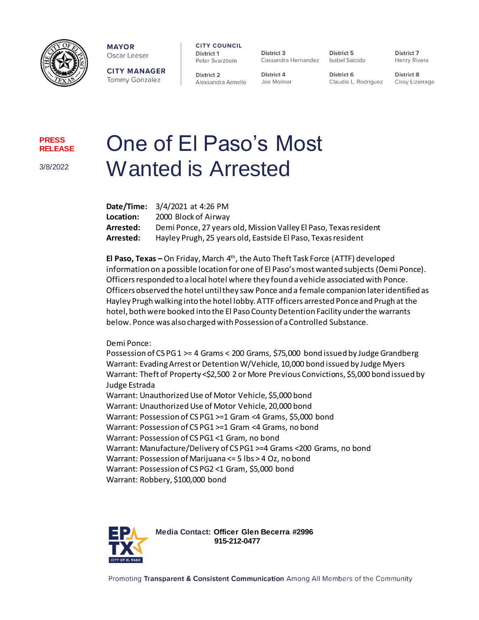

**MAYOR** Oscar Leeser

**CITY MANAGER Tommy Gonzalez** 

**CITY COUNCIL** District 1 Peter Svarzbein

District 2 Alexsandra Annello

District 3 Cassandra Hernandez Isabel Salcido

**District 4** 

Joe Molinar

District 5

District 7 Henry Rivera

District 6 Claudia L. Rodriguez

**District 8** Cissy Lizarraga

**PRESS RELEASE**

3/8/2022

## One of El Paso's Most Wanted is Arrested

|           | Date/Time: 3/4/2021 at 4:26 PM                                   |
|-----------|------------------------------------------------------------------|
| Location: | 2000 Block of Airway                                             |
| Arrested: | Demi Ponce, 27 years old, Mission Valley El Paso, Texas resident |
| Arrested: | Hayley Prugh, 25 years old, Eastside El Paso, Texas resident     |

**El Paso, Texas –** On Friday, March 4th, the Auto Theft Task Force (ATTF) developed information on a possible location for one of El Paso's most wanted subjects (Demi Ponce). Officers responded to a local hotel where they found a vehicle associated with Ponce. Officers observed the hotel until they saw Ponce and a female companion later identified as Hayley Prugh walking into the hotel lobby. ATTF officers arrested Ponce and Prugh at the hotel, both were booked into the El Paso County Detention Facility under the warrants below. Ponce was also charged with Possession of a Controlled Substance.

Demi Ponce:

Possession of CS PG 1 >= 4 Grams < 200 Grams, \$75,000 bond issued by Judge Grandberg Warrant: Evading Arrest or Detention W/Vehicle, 10,000 bond issued by Judge Myers Warrant: Theft of Property <\$2,500 2 or More Previous Convictions, \$5,000 bond issued by Judge Estrada

Warrant: Unauthorized Use of Motor Vehicle, \$5,000 bond Warrant: Unauthorized Use of Motor Vehicle, 20,000 bond Warrant: Possession of CS PG1 >=1 Gram <4 Grams, \$5,000 bond Warrant: Possession of CS PG1 >=1 Gram <4 Grams, no bond Warrant: Possession of CS PG1 <1 Gram, no bond Warrant: Manufacture/Delivery of CS PG1 >=4 Grams <200 Grams, no bond Warrant: Possession of Marijuana <= 5 lbs > 4 Oz, no bond Warrant: Possession of CS PG2 <1 Gram, \$5,000 bond Warrant: Robbery, \$100,000 bond



**Media Contact: Officer Glen Becerra #2996 915-212-0477**

Promoting Transparent & Consistent Communication Among All Members of the Community